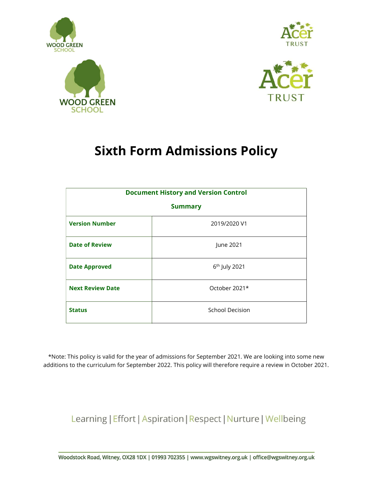





## Sixth Form Admissions Policy

| <b>Document History and Version Control</b><br><b>Summary</b> |                           |  |
|---------------------------------------------------------------|---------------------------|--|
|                                                               |                           |  |
| <b>Date of Review</b>                                         | June 2021                 |  |
| <b>Date Approved</b>                                          | 6 <sup>th</sup> July 2021 |  |
| <b>Next Review Date</b>                                       | October 2021*             |  |
| <b>Status</b>                                                 | School Decision           |  |

\*Note: This policy is valid for the year of admissions for September 2021. We are looking into some new additions to the curriculum for September 2022. This policy will therefore require a review in October 2021.

Learning | Effort | Aspiration | Respect | Nurture | Wellbeing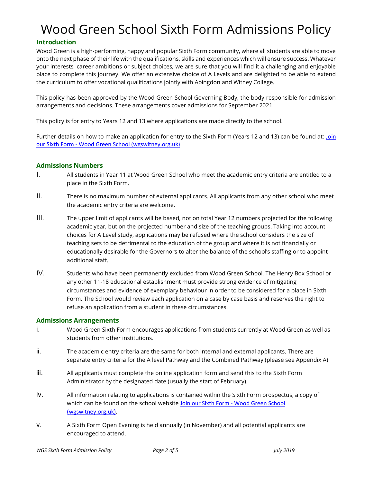# Wood Green School Sixth Form Admissions Policy

#### Introduction

Wood Green is a high-performing, happy and popular Sixth Form community, where all students are able to move onto the next phase of their life with the qualifications, skills and experiences which will ensure success. Whatever your interests, career ambitions or subject choices, we are sure that you will find it a challenging and enjoyable place to complete this journey. We offer an extensive choice of A Levels and are delighted to be able to extend the curriculum to offer vocational qualifications jointly with Abingdon and Witney College.

This policy has been approved by the Wood Green School Governing Body, the body responsible for admission arrangements and decisions. These arrangements cover admissions for September 2021.

This policy is for entry to Years 12 and 13 where applications are made directly to the school.

Further details on how to make an application for entry to the Sixth Form (Years 12 and 13) can be found at: Join our Sixth Form - Wood Green School (wgswitney.org.uk)

#### Admissions Numbers

- I. All students in Year 11 at Wood Green School who meet the academic entry criteria are entitled to a place in the Sixth Form.
- II. There is no maximum number of external applicants. All applicants from any other school who meet the academic entry criteria are welcome.
- III. The upper limit of applicants will be based, not on total Year 12 numbers projected for the following academic year, but on the projected number and size of the teaching groups. Taking into account choices for A Level study, applications may be refused where the school considers the size of teaching sets to be detrimental to the education of the group and where it is not financially or educationally desirable for the Governors to alter the balance of the school's staffing or to appoint additional staff.
- IV. Students who have been permanently excluded from Wood Green School, The Henry Box School or any other 11-18 educational establishment must provide strong evidence of mitigating circumstances and evidence of exemplary behaviour in order to be considered for a place in Sixth Form. The School would review each application on a case by case basis and reserves the right to refuse an application from a student in these circumstances.

#### Admissions Arrangements

- i. Wood Green Sixth Form encourages applications from students currently at Wood Green as well as students from other institutions.
- ii. The academic entry criteria are the same for both internal and external applicants. There are separate entry criteria for the A level Pathway and the Combined Pathway (please see Appendix A)
- iii. All applicants must complete the online application form and send this to the Sixth Form Administrator by the designated date (usually the start of February).
- iv. All information relating to applications is contained within the Sixth Form prospectus, a copy of which can be found on the school website Join our Sixth Form - Wood Green School (wgswitney.org.uk).
- v. A Sixth Form Open Evening is held annually (in November) and all potential applicants are encouraged to attend.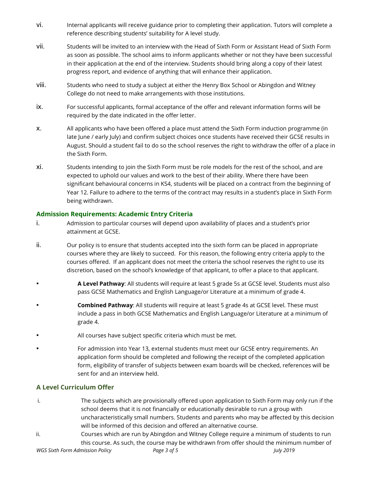- vi. Internal applicants will receive guidance prior to completing their application. Tutors will complete a reference describing students' suitability for A level study.
- vii. Students will be invited to an interview with the Head of Sixth Form or Assistant Head of Sixth Form as soon as possible. The school aims to inform applicants whether or not they have been successful in their application at the end of the interview. Students should bring along a copy of their latest progress report, and evidence of anything that will enhance their application.
- viii. Students who need to study a subject at either the Henry Box School or Abingdon and Witney College do not need to make arrangements with those institutions.
- ix. For successful applicants, formal acceptance of the offer and relevant information forms will be required by the date indicated in the offer letter.
- x. All applicants who have been offered a place must attend the Sixth Form induction programme (in late June / early July) and confirm subject choices once students have received their GCSE results in August. Should a student fail to do so the school reserves the right to withdraw the offer of a place in the Sixth Form.
- xi. Students intending to join the Sixth Form must be role models for the rest of the school, and are expected to uphold our values and work to the best of their ability. Where there have been significant behavioural concerns in KS4, students will be placed on a contract from the beginning of Year 12. Failure to adhere to the terms of the contract may results in a student's place in Sixth Form being withdrawn.

#### Admission Requirements: Academic Entry Criteria

- i. Admission to particular courses will depend upon availability of places and a student's prior attainment at GCSE.
- ii. Our policy is to ensure that students accepted into the sixth form can be placed in appropriate courses where they are likely to succeed. For this reason, the following entry criteria apply to the courses offered. If an applicant does not meet the criteria the school reserves the right to use its discretion, based on the school's knowledge of that applicant, to offer a place to that applicant.
- **Example 2 A Level Pathway:** All students will require at least 5 grade 5s at GCSE level. Students must also pass GCSE Mathematics and English Language/or Literature at a minimum of grade 4.
- **Combined Pathway:** All students will require at least 5 grade 4s at GCSE level. These must include a pass in both GCSE Mathematics and English Language/or Literature at a minimum of grade 4.
- All courses have subject specific criteria which must be met.
- For admission into Year 13, external students must meet our GCSE entry requirements. An application form should be completed and following the receipt of the completed application form, eligibility of transfer of subjects between exam boards will be checked, references will be sent for and an interview held.

#### A Level Curriculum Offer

- i. The subjects which are provisionally offered upon application to Sixth Form may only run if the school deems that it is not financially or educationally desirable to run a group with uncharacteristically small numbers. Students and parents who may be affected by this decision will be informed of this decision and offered an alternative course.
- ii. Courses which are run by Abingdon and Witney College require a minimum of students to run this course. As such, the course may be withdrawn from offer should the minimum number of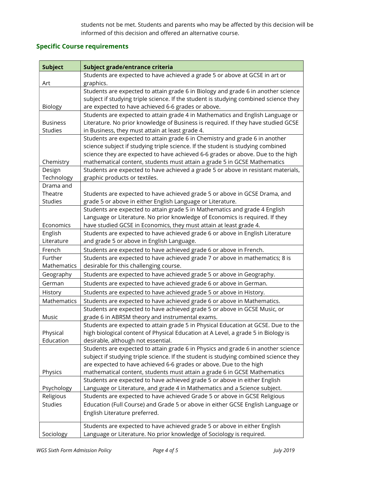students not be met. Students and parents who may be affected by this decision will be informed of this decision and offered an alternative course.

### Specific Course requirements

| <b>Subject</b>  | Subject grade/entrance criteria                                                      |
|-----------------|--------------------------------------------------------------------------------------|
|                 | Students are expected to have achieved a grade 5 or above at GCSE in art or          |
| Art             | graphics.                                                                            |
|                 | Students are expected to attain grade 6 in Biology and grade 6 in another science    |
|                 | subject if studying triple science. If the student is studying combined science they |
| <b>Biology</b>  | are expected to have achieved 6-6 grades or above.                                   |
|                 | Students are expected to attain grade 4 in Mathematics and English Language or       |
| <b>Business</b> | Literature. No prior knowledge of Business is required. If they have studied GCSE    |
| <b>Studies</b>  | in Business, they must attain at least grade 4.                                      |
|                 | Students are expected to attain grade 6 in Chemistry and grade 6 in another          |
|                 | science subject if studying triple science. If the student is studying combined      |
|                 | science they are expected to have achieved 6-6 grades or above. Due to the high      |
| Chemistry       | mathematical content, students must attain a grade 5 in GCSE Mathematics             |
| Design          | Students are expected to have achieved a grade 5 or above in resistant materials,    |
| Technology      | graphic products or textiles.                                                        |
| Drama and       |                                                                                      |
| Theatre         | Students are expected to have achieved grade 5 or above in GCSE Drama, and           |
| Studies         | grade 5 or above in either English Language or Literature.                           |
|                 | Students are expected to attain grade 5 in Mathematics and grade 4 English           |
|                 | Language or Literature. No prior knowledge of Economics is required. If they         |
| Economics       | have studied GCSE in Economics, they must attain at least grade 4.                   |
| English         | Students are expected to have achieved grade 6 or above in English Literature        |
| Literature      | and grade 5 or above in English Language.                                            |
| French          | Students are expected to have achieved grade 6 or above in French.                   |
| Further         | Students are expected to have achieved grade 7 or above in mathematics; 8 is         |
| Mathematics     | desirable for this challenging course.                                               |
| Geography       | Students are expected to have achieved grade 5 or above in Geography.                |
| German          | Students are expected to have achieved grade 6 or above in German.                   |
| History         | Students are expected to have achieved grade 5 or above in History.                  |
| Mathematics     | Students are expected to have achieved grade 6 or above in Mathematics.              |
|                 | Students are expected to have achieved grade 5 or above in GCSE Music, or            |
| Music           | grade 6 in ABRSM theory and instrumental exams.                                      |
|                 | Students are expected to attain grade 5 in Physical Education at GCSE. Due to the    |
| Physical        | high biological content of Physical Education at A Level, a grade 5 in Biology is    |
| Education       | desirable, although not essential.                                                   |
|                 | Students are expected to attain grade 6 in Physics and grade 6 in another science    |
|                 | subject if studying triple science. If the student is studying combined science they |
|                 | are expected to have achieved 6-6 grades or above. Due to the high                   |
| Physics         | mathematical content, students must attain a grade 6 in GCSE Mathematics             |
|                 | Students are expected to have achieved grade 5 or above in either English            |
| Psychology      | Language or Literature, and grade 4 in Mathematics and a Science subject.            |
| Religious       | Students are expected to have achieved Grade 5 or above in GCSE Religious            |
| <b>Studies</b>  | Education (Full Course) and Grade 5 or above in either GCSE English Language or      |
|                 | English Literature preferred.                                                        |
|                 |                                                                                      |
|                 | Students are expected to have achieved grade 5 or above in either English            |
| Sociology       | Language or Literature. No prior knowledge of Sociology is required.                 |